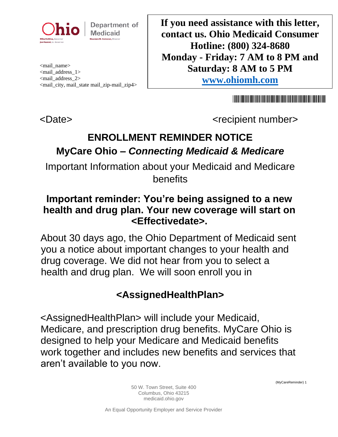

Department of **Medicaid** 

<mail\_name> <mail\_address\_1> <mail\_address\_2> <mail\_city, mail\_state mail\_zip-mail\_zip4> **If you need assistance with this letter, contact us. Ohio Medicaid Consumer Hotline: (800) 324-8680 Monday - Friday: 7 AM to 8 PM and Saturday: 8 AM to 5 PM [www.ohiomh.com](http://www.ohiomh.com/)**

<u> 1989 - Andrea Stadt Britain, Amerikaansk politiker (</u>

<Date> <recipient number>

# **ENROLLMENT REMINDER NOTICE MyCare Ohio –** *Connecting Medicaid & Medicare*

Important Information about your Medicaid and Medicare benefits

#### **Important reminder: You're being assigned to a new health and drug plan. Your new coverage will start on <Effectivedate>.**

About 30 days ago, the Ohio Department of Medicaid sent you a notice about important changes to your health and drug coverage. We did not hear from you to select a health and drug plan. We will soon enroll you in

## **<AssignedHealthPlan>**

<AssignedHealthPlan> will include your Medicaid, Medicare, and prescription drug benefits. MyCare Ohio is designed to help your Medicare and Medicaid benefits work together and includes new benefits and services that aren't available to you now.

(MyCareReminder) 1

50 W. Town Street, Suite 400 Columbus, Ohio 43215 medicaid.ohio.gov

An Equal Opportunity Employer and Service Provider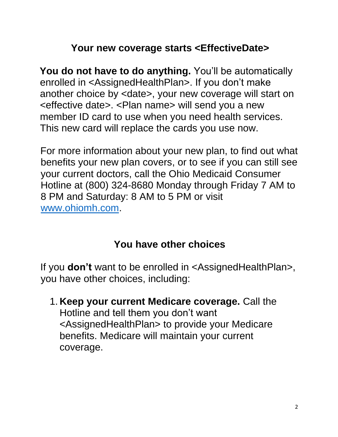## **Your new coverage starts <EffectiveDate>**

**You do not have to do anything.** You'll be automatically enrolled in <AssignedHealthPlan>. If you don't make another choice by <date>, your new coverage will start on <effective date>. <Plan name> will send you a new member ID card to use when you need health services. This new card will replace the cards you use now.

For more information about your new plan, to find out what benefits your new plan covers, or to see if you can still see your current doctors, call the Ohio Medicaid Consumer Hotline at (800) 324-8680 Monday through Friday 7 AM to 8 PM and Saturday: 8 AM to 5 PM or visit [www.ohiomh.com.](http://www.ohiomh.com/)

#### **You have other choices**

If you **don't** want to be enrolled in <AssignedHealthPlan>, you have other choices, including:

1. **Keep your current Medicare coverage.** Call the Hotline and tell them you don't want <AssignedHealthPlan> to provide your Medicare benefits. Medicare will maintain your current coverage.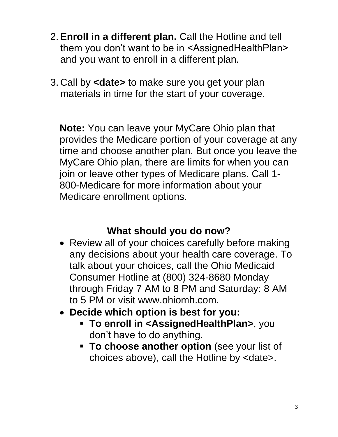- 2. **Enroll in a different plan.** Call the Hotline and tell them you don't want to be in <AssignedHealthPlan> and you want to enroll in a different plan.
- 3. Call by **<date>** to make sure you get your plan materials in time for the start of your coverage.

**Note:** You can leave your MyCare Ohio plan that provides the Medicare portion of your coverage at any time and choose another plan. But once you leave the MyCare Ohio plan, there are limits for when you can join or leave other types of Medicare plans. Call 1- 800-Medicare for more information about your Medicare enrollment options.

## **What should you do now?**

- Review all of your choices carefully before making any decisions about your health care coverage. To talk about your choices, call the Ohio Medicaid Consumer Hotline at (800) 324-8680 Monday through Friday 7 AM to 8 PM and Saturday: 8 AM to 5 PM or visit www.ohiomh.com.
- **Decide which option is best for you:**
	- **To enroll in <AssignedHealthPlan>**, you don't have to do anything.
	- **To choose another option** (see your list of choices above), call the Hotline by <date>.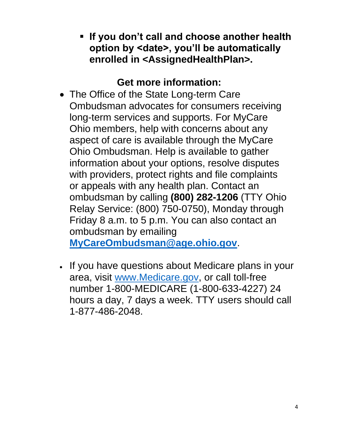▪ **If you don't call and choose another health option by <date>, you'll be automatically enrolled in <AssignedHealthPlan>.**

## **Get more information:**

• The Office of the State Long-term Care Ombudsman advocates for consumers receiving long-term services and supports. For MyCare Ohio members, help with concerns about any aspect of care is available through the MyCare Ohio Ombudsman. Help is available to gather information about your options, resolve disputes with providers, protect rights and file complaints or appeals with any health plan. Contact an ombudsman by calling **(800) 282-1206** (TTY Ohio Relay Service: (800) 750-0750), Monday through Friday 8 a.m. to 5 p.m. You can also contact an ombudsman by emailing

**MyCareOmbudsman@age.ohio.gov**.

• If you have questions about Medicare plans in your area, visit [www.Medicare.gov,](http://www.medicare.gov/) or call toll-free number 1-800-MEDICARE (1-800-633-4227) 24 hours a day, 7 days a week. TTY users should call 1-877-486-2048.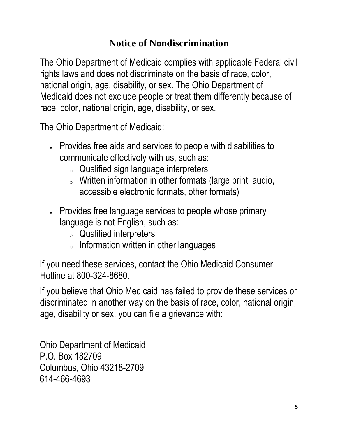## **Notice of Nondiscrimination**

The Ohio Department of Medicaid complies with applicable Federal civil rights laws and does not discriminate on the basis of race, color, national origin, age, disability, or sex. The Ohio Department of Medicaid does not exclude people or treat them differently because of race, color, national origin, age, disability, or sex.

The Ohio Department of Medicaid:

- Provides free aids and services to people with disabilities to communicate effectively with us, such as:
	- <sup>o</sup> Qualified sign language interpreters
	- <sup>o</sup> Written information in other formats (large print, audio, accessible electronic formats, other formats)
- Provides free language services to people whose primary language is not English, such as:
	- <sup>o</sup> Qualified interpreters
	- <sup>o</sup> Information written in other languages

If you need these services, contact the Ohio Medicaid Consumer Hotline at 800-324-8680.

If you believe that Ohio Medicaid has failed to provide these services or discriminated in another way on the basis of race, color, national origin, age, disability or sex, you can file a grievance with:

Ohio Department of Medicaid P.O. Box 182709 Columbus, Ohio 43218-2709 614-466-4693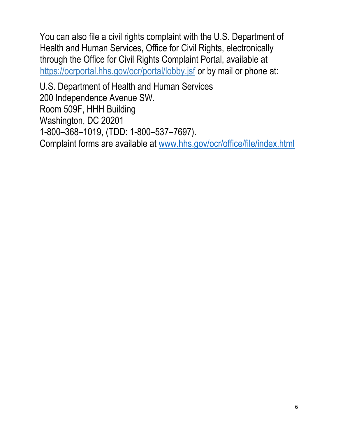You can also file a civil rights complaint with the U.S. Department of Health and Human Services, Office for Civil Rights, electronically through the Office for Civil Rights Complaint Portal, available at <https://ocrportal.hhs.gov/ocr/portal/lobby.jsf> or by mail or phone at:

U.S. Department of Health and Human Services 200 Independence Avenue SW. Room 509F, HHH Building Washington, DC 20201 1-800–368–1019, (TDD: 1-800–537–7697). Complaint forms are available at [www.hhs.gov/ocr/office/file/index.html](http://www.hhs.gov/ocr/office/file/index.html)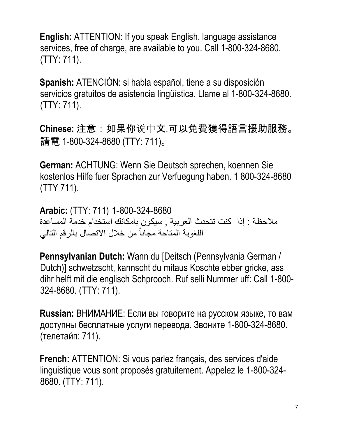**English:** ATTENTION: If you speak English, language assistance services, free of charge, are available to you. Call 1-800-324-8680. (TTY: 711).

**Spanish:** ATENCIÓN: si habla español, tiene a su disposición servicios gratuitos de asistencia lingüística. Llame al 1-800-324-8680. (TTY: 711).

**Chinese:** 注意:如果你说中文,可以免費獲得語言援助服務。 請電 1-800-324-8680 (TTY: 711)。

**German:** ACHTUNG: Wenn Sie Deutsch sprechen, koennen Sie kostenlos Hilfe fuer Sprachen zur Verfuegung haben. 1 800-324-8680 (TTY 711).

**Arabic:** (TTY: 711) 1-800-324-8680 مالحظة : إذا كنت تتحدث العربية , سيكون بامكانك استخدام خدمة المساعدة اللغوية المتاحة مجاناً من خالل االتصال بالرقم التالي

**Pennsylvanian Dutch:** Wann du [Deitsch (Pennsylvania German / Dutch)] schwetzscht, kannscht du mitaus Koschte ebber gricke, ass dihr helft mit die englisch Schprooch. Ruf selli Nummer uff: Call 1-800- 324-8680. (TTY: 711).

**Russian:** ВНИМАНИЕ: Если вы говорите на русском языке, то вам доступны бесплатные услуги перевода. Звоните 1-800-324-8680. (телетайп: 711).

**French:** ATTENTION: Si vous parlez français, des services d'aide linguistique vous sont proposés gratuitement. Appelez le 1-800-324- 8680. (TTY: 711).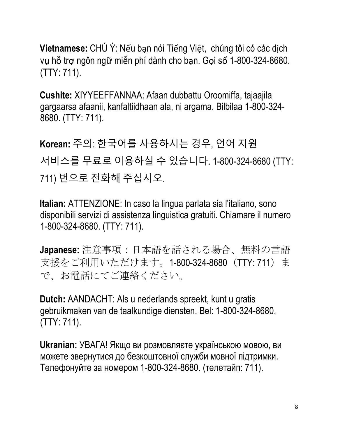**Vietnamese:** CHÚ Ý: Nếu bạn nói Tiếng Việt, chúng tôi có các dịch vụ hỗ trợ ngôn ngữ miễn phí dành cho bạn. Gọi số 1-800-324-8680. (TTY: 711).

**Cushite:** XIYYEEFFANNAA: Afaan dubbattu Oroomiffa, tajaajila gargaarsa afaanii, kanfaltiidhaan ala, ni argama. Bilbilaa 1-800-324- 8680. (TTY: 711).

**Korean:** 주의: 한국어를 사용하시는 경우, 언어 지원 서비스를 무료로 이용하실 수 있습니다. 1-800-324-8680 (TTY: 711) 번으로 전화해 주십시오.

**Italian:** ATTENZIONE: In caso la lingua parlata sia l'italiano, sono disponibili servizi di assistenza linguistica gratuiti. Chiamare il numero 1-800-324-8680. (TTY: 711).

**Japanese:** 注意事項:日本語を話される場合、無料の言語 支援をご利用いただけます。1-800-324-8680 (TTY: 711) ま で、お電話にてご連絡ください。

**Dutch:** AANDACHT: Als u nederlands spreekt, kunt u gratis gebruikmaken van de taalkundige diensten. Bel: 1-800-324-8680. (TTY: 711).

**Ukranian:** УВАГА! Якщо ви розмовляєте українською мовою, ви можете звернутися до безкоштовної служби мовної підтримки. Телефонуйте за номером 1-800-324-8680. (телетайп: 711).